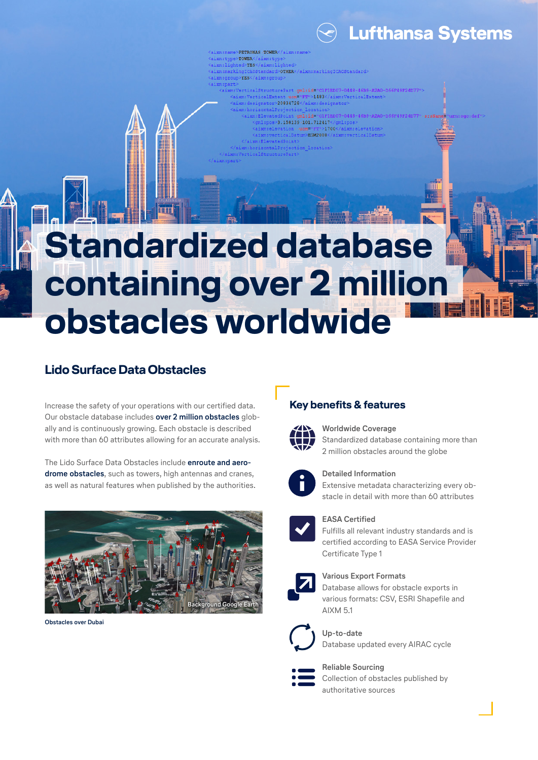

# **Standardized database containing over 2 million obstacles worldwide**

PETRONAS TOWER **YES** 

**VES** 

OTHER</aixm:markingICAOStandare

1483

3.158139-101.712417

20834728

### **Lido Surface Data Obstacles**

Increase the safety of your operations with our certified data. Our obstacle database includes **over 2 million obstacles** globally and is continuously growing. Each obstacle is described with more than 60 attributes allowing for an accurate analysis.

The Lido Surface Data Obstacles include **enroute and aerodrome obstacles**, such as towers, high antennas and cranes, as well as natural features when published by the authorities.



**Obstacles over Dubai**

#### **Key benefits & features**



#### **Worldwide Coverage**

Standardized database containing more than 2 million obstacles around the globe



#### **Detailed Information**

Extensive metadata characterizing every obstacle in detail with more than 60 attributes



#### **EASA Certified**

Fulfills all relevant industry standards and is certified according to EASA Service Provider Certificate Type 1



#### **Various Export Formats**

Database allows for obstacle exports in various formats: CSV, ESRI Shapefile and AIXM 5.1



#### **Up-to-date**

Database updated every AIRAC cycle

## **Reliable Sourcing**

Collection of obstacles published by authoritative sources